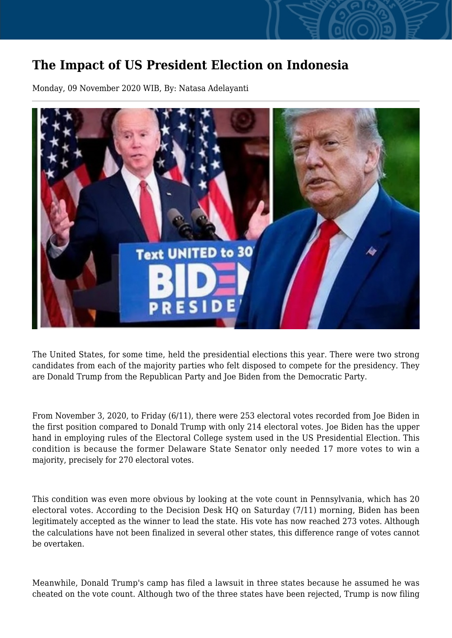## **The Impact of US President Election on Indonesia**

Monday, 09 November 2020 WIB, By: Natasa Adelayanti



The United States, for some time, held the presidential elections this year. There were two strong candidates from each of the majority parties who felt disposed to compete for the presidency. They are Donald Trump from the Republican Party and Joe Biden from the Democratic Party.

From November 3, 2020, to Friday (6/11), there were 253 electoral votes recorded from Joe Biden in the first position compared to Donald Trump with only 214 electoral votes. Joe Biden has the upper hand in employing rules of the Electoral College system used in the US Presidential Election. This condition is because the former Delaware State Senator only needed 17 more votes to win a majority, precisely for 270 electoral votes.

This condition was even more obvious by looking at the vote count in Pennsylvania, which has 20 electoral votes. According to the Decision Desk HQ on Saturday (7/11) morning, Biden has been legitimately accepted as the winner to lead the state. His vote has now reached 273 votes. Although the calculations have not been finalized in several other states, this difference range of votes cannot be overtaken.

Meanwhile, Donald Trump's camp has filed a lawsuit in three states because he assumed he was cheated on the vote count. Although two of the three states have been rejected, Trump is now filing